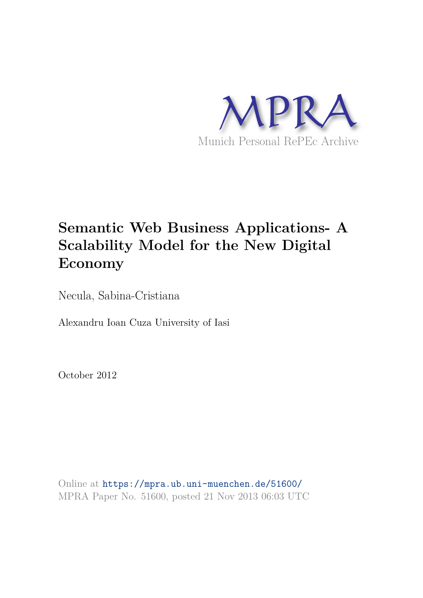

# **Semantic Web Business Applications- A Scalability Model for the New Digital Economy**

Necula, Sabina-Cristiana

Alexandru Ioan Cuza University of Iasi

October 2012

Online at https://mpra.ub.uni-muenchen.de/51600/ MPRA Paper No. 51600, posted 21 Nov 2013 06:03 UTC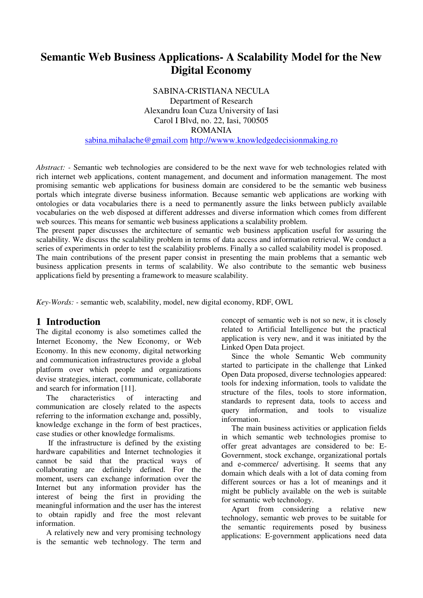## **Semantic Web Business Applications- A Scalability Model for the New Digital Economy**

SABINA-CRISTIANA NECULA Department of Research Alexandru Ioan Cuza University of Iasi Carol I Blvd, no. 22, Iasi, 700505 ROMANIA [sabina.mihalache@gmail.com](mailto:sabina.mihalache@gmail.com) [http://wwww.knowledgedecisionmaking.ro](http://wwww.knowledgedecisionmaking.ro/) 

*Abstract: -* Semantic web technologies are considered to be the next wave for web technologies related with

rich internet web applications, content management, and document and information management. The most promising semantic web applications for business domain are considered to be the semantic web business portals which integrate diverse business information. Because semantic web applications are working with ontologies or data vocabularies there is a need to permanently assure the links between publicly available vocabularies on the web disposed at different addresses and diverse information which comes from different web sources. This means for semantic web business applications a scalability problem.

The present paper discusses the architecture of semantic web business application useful for assuring the scalability. We discuss the scalability problem in terms of data access and information retrieval. We conduct a series of experiments in order to test the scalability problems. Finally a so called scalability model is proposed. The main contributions of the present paper consist in presenting the main problems that a semantic web

business application presents in terms of scalability. We also contribute to the semantic web business applications field by presenting a framework to measure scalability.

*Key-Words: -* semantic web, scalability, model, new digital economy, RDF, OWL

## **1 Introduction**

The digital economy is also sometimes called the Internet Economy, the New Economy, or Web Economy. In this new economy, digital networking and communication infrastructures provide a global platform over which people and organizations devise strategies, interact, communicate, collaborate and search for information [11].

The characteristics of interacting and communication are closely related to the aspects referring to the information exchange and, possibly, knowledge exchange in the form of best practices, case studies or other knowledge formalisms.

 If the infrastructure is defined by the existing hardware capabilities and Internet technologies it cannot be said that the practical ways of collaborating are definitely defined. For the moment, users can exchange information over the Internet but any information provider has the interest of being the first in providing the meaningful information and the user has the interest to obtain rapidly and free the most relevant information.

A relatively new and very promising technology is the semantic web technology. The term and concept of semantic web is not so new, it is closely related to Artificial Intelligence but the practical application is very new, and it was initiated by the Linked Open Data project.

Since the whole Semantic Web community started to participate in the challenge that Linked Open Data proposed, diverse technologies appeared: tools for indexing information, tools to validate the structure of the files, tools to store information, standards to represent data, tools to access and query information, and tools to visualize information.

The main business activities or application fields in which semantic web technologies promise to offer great advantages are considered to be: E-Government, stock exchange, organizational portals and e-commerce/ advertising. It seems that any domain which deals with a lot of data coming from different sources or has a lot of meanings and it might be publicly available on the web is suitable for semantic web technology.

Apart from considering a relative new technology, semantic web proves to be suitable for the semantic requirements posed by business applications: E-government applications need data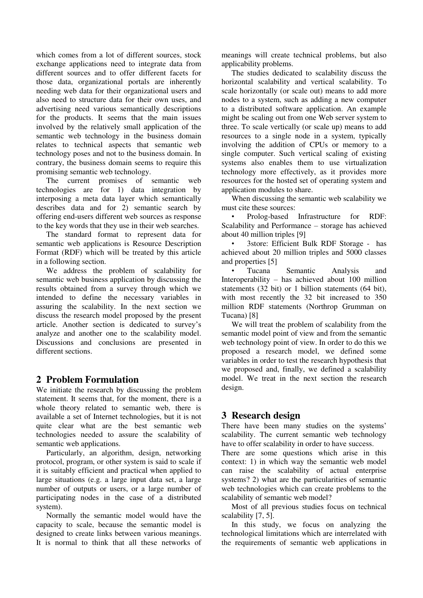which comes from a lot of different sources, stock exchange applications need to integrate data from different sources and to offer different facets for those data, organizational portals are inherently needing web data for their organizational users and also need to structure data for their own uses, and advertising need various semantically descriptions for the products. It seems that the main issues involved by the relatively small application of the semantic web technology in the business domain relates to technical aspects that semantic web technology poses and not to the business domain. In contrary, the business domain seems to require this promising semantic web technology.

The current promises of semantic web technologies are for 1) data integration by interposing a meta data layer which semantically describes data and for 2) semantic search by offering end-users different web sources as response to the key words that they use in their web searches.

The standard format to represent data for semantic web applications is Resource Description Format (RDF) which will be treated by this article in a following section.

We address the problem of scalability for semantic web business application by discussing the results obtained from a survey through which we intended to define the necessary variables in assuring the scalability. In the next section we discuss the research model proposed by the present article. Another section is dedicated to survey's analyze and another one to the scalability model. Discussions and conclusions are presented in different sections.

## **2 Problem Formulation**

We initiate the research by discussing the problem statement. It seems that, for the moment, there is a whole theory related to semantic web, there is available a set of Internet technologies, but it is not quite clear what are the best semantic web technologies needed to assure the scalability of semantic web applications.

Particularly, an algorithm, design, networking protocol, program, or other system is said to scale if it is suitably efficient and practical when applied to large situations (e.g. a large input data set, a large number of outputs or users, or a large number of participating nodes in the case of a distributed system).

Normally the semantic model would have the capacity to scale, because the semantic model is designed to create links between various meanings. It is normal to think that all these networks of

meanings will create technical problems, but also applicability problems.

The studies dedicated to scalability discuss the horizontal scalability and vertical scalability. To scale horizontally (or scale out) means to add more nodes to a system, such as adding a new computer to a distributed software application. An example might be scaling out from one Web server system to three. To scale vertically (or scale up) means to add resources to a single node in a system, typically involving the addition of CPUs or memory to a single computer. Such vertical scaling of existing systems also enables them to use virtualization technology more effectively, as it provides more resources for the hosted set of operating system and application modules to share.

When discussing the semantic web scalability we must cite these sources:

• Prolog-based Infrastructure for RDF: Scalability and Performance – storage has achieved about 40 million triples [9]

• 3store: Efficient Bulk RDF Storage - has achieved about 20 million triples and 5000 classes and properties [5]

• Tucana Semantic Analysis and Interoperability – has achieved about 100 million statements (32 bit) or 1 billion statements (64 bit), with most recently the 32 bit increased to 350 million RDF statements (Northrop Grumman on Tucana) [8]

We will treat the problem of scalability from the semantic model point of view and from the semantic web technology point of view. In order to do this we proposed a research model, we defined some variables in order to test the research hypothesis that we proposed and, finally, we defined a scalability model. We treat in the next section the research design.

## **3 Research design**

There have been many studies on the systems' scalability. The current semantic web technology have to offer scalability in order to have success.

There are some questions which arise in this context: 1) in which way the semantic web model can raise the scalability of actual enterprise systems? 2) what are the particularities of semantic web technologies which can create problems to the scalability of semantic web model?

Most of all previous studies focus on technical scalability [7, 5].

In this study, we focus on analyzing the technological limitations which are interrelated with the requirements of semantic web applications in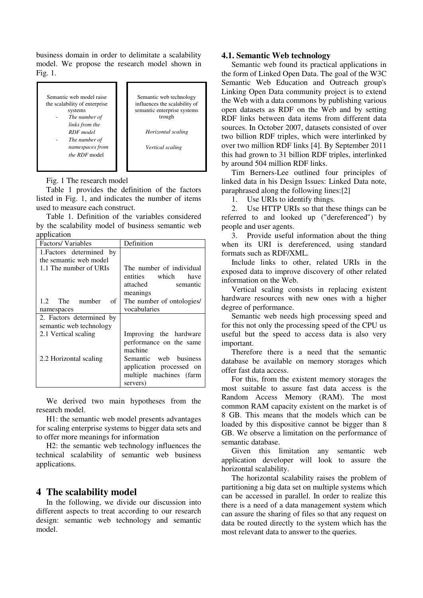business domain in order to delimitate a scalability model. We propose the research model shown in Fig. 1.

Semantic web model raise the scalability of enterprise systems The number of *links from the RDF model*  The number of *namespaces from the RDF* model Semantic web technology influences the scalability of semantic enterprise systems trough *Horizontal scaling Vertical scaling* 

Fig. 1 The research model

Table 1 provides the definition of the factors listed in Fig. 1, and indicates the number of items used to measure each construct.

Table 1. Definition of the variables considered by the scalability model of business semantic web application

| Factors/Variables        | Definition                                                                                                                     |
|--------------------------|--------------------------------------------------------------------------------------------------------------------------------|
| 1. Factors determined by |                                                                                                                                |
| the semantic web model   |                                                                                                                                |
| 1.1 The number of URIs   | The number of individual<br>entities which<br>have<br>attached<br>semantic<br>meanings                                         |
| 1.2 The number<br>of     | The number of ontologies/                                                                                                      |
| namespaces               | vocabularies                                                                                                                   |
| 2. Factors determined by |                                                                                                                                |
| semantic web technology  |                                                                                                                                |
| 2.1 Vertical scaling     | Improving the hardware                                                                                                         |
| 2.2 Horizontal scaling   | performance on the same<br>machine<br>Semantic web business<br>application processed on<br>multiple machines (farm<br>servers) |

We derived two main hypotheses from the research model.

H1: the semantic web model presents advantages for scaling enterprise systems to bigger data sets and to offer more meanings for information

H2: the semantic web technology influences the technical scalability of semantic web business applications.

#### **4 The scalability model**

In the following, we divide our discussion into different aspects to treat according to our research design: semantic web technology and semantic model.

#### **4.1. Semantic Web technology**

Semantic web found its practical applications in the form of Linked Open Data. The goal of the W3C Semantic Web Education and Outreach group's Linking Open Data community project is to extend the Web with a data commons by publishing various open datasets as RDF on the Web and by setting RDF links between data items from different data sources. In October 2007, datasets consisted of over two billion RDF triples, which were interlinked by over two million RDF links [4]. By September 2011 this had grown to 31 billion RDF triples, interlinked by around 504 million RDF links.

Tim Berners-Lee outlined four principles of linked data in his Design Issues: Linked Data note, paraphrased along the following lines:[2]

1. Use URIs to identify things.

2. Use HTTP URIs so that these things can be referred to and looked up ("dereferenced") by people and user agents.

3. Provide useful information about the thing when its URI is dereferenced, using standard formats such as RDF/XML.

Include links to other, related URIs in the exposed data to improve discovery of other related information on the Web.

Vertical scaling consists in replacing existent hardware resources with new ones with a higher degree of performance.

Semantic web needs high processing speed and for this not only the processing speed of the CPU us useful but the speed to access data is also very important.

Therefore there is a need that the semantic database be available on memory storages which offer fast data access.

For this, from the existent memory storages the most suitable to assure fast data access is the Random Access Memory (RAM). The most common RAM capacity existent on the market is of 8 GB. This means that the models which can be loaded by this dispositive cannot be bigger than 8 GB. We observe a limitation on the performance of semantic database.

Given this limitation any semantic web application developer will look to assure the horizontal scalability.

The horizontal scalability raises the problem of partitioning a big data set on multiple systems which can be accessed in parallel. In order to realize this there is a need of a data management system which can assure the sharing of files so that any request on data be routed directly to the system which has the most relevant data to answer to the queries.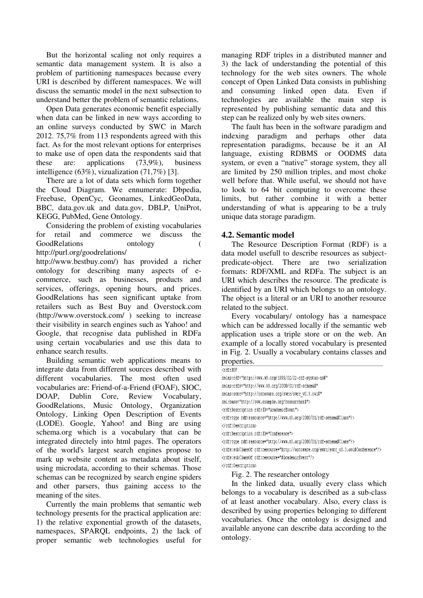But the horizontal scaling not only requires a semantic data management system. It is also a problem of partitioning namespaces because every URI is described by different namespaces. We will discuss the semantic model in the next subsection to understand better the problem of semantic relations.

Open Data generates economic benefit especially when data can be linked in new ways according to an online surveys conducted by SWC in March 2012. 75,7% from 113 respondents agreed with this fact. As for the most relevant options for enterprises to make use of open data the respondents said that these are: applications (73,9%), business intelligence (63%), vizualization (71,7%) [3].

There are a lot of data sets which form together the Cloud Diagram. We ennumerate: Dbpedia, Freebase, OpenCyc, Geonames, LinkedGeoData, BBC, data.gov.uk and data.gov, DBLP, UniProt, KEGG, PubMed, Gene Ontology.

Considering the problem of existing vocabularies for retail and commerce we discuss the GoodRelations ontology ( http://purl.org/goodrelations/

http://www.bestbuy.com/) has provided a richer ontology for describing many aspects of ecommerce, such as businesses, products and services, offerings, opening hours, and prices. GoodRelations has seen significant uptake from retailers such as Best Buy and Overstock.com (http://www.overstock.com/ ) seeking to increase their visibility in search engines such as Yahoo! and Google, that recognise data published in RDFa using certain vocabularies and use this data to enhance search results.

Building semantic web applications means to integrate data from different sources described with different vocabularies. The most often used vocabularies are: Friend-of-a-Friend (FOAF), SIOC, DOAP, Dublin Core, Review Vocabulary, GoodRelations, Music Ontology, Organization Ontology, Linking Open Description of Events (LODE). Google, Yahoo! and Bing are using schema.org which is a vocabulary that can be integrated directely into html pages. The operators of the world's largest search engines propose to mark up website content as metadata about itself, using microdata, according to their schemas. Those schemas can be recognized by search engine spiders and other parsers, thus gaining access to the meaning of the sites.

Currently the main problems that semantic web technology presents for the practical application are: 1) the relative exponential growth of the datasets, namespaces, SPARQL endpoints, 2) the lack of proper semantic web technologies useful for managing RDF triples in a distributed manner and 3) the lack of understanding the potential of this technology for the web sites owners. The whole concept of Open Linked Data consists in publishing and consuming linked open data. Even if technologies are available the main step is represented by publishing semantic data and this step can be realized only by web sites owners.

The fault has been in the software paradigm and indexing paradigm and perhaps other data representation paradigms, because be it an AI language, existing RDBMS or OODMS data system, or even a "native" storage system, they all are limited by 250 million triples, and most choke well before that. While useful, we should not have to look to 64 bit computing to overcome these limits, but rather combine it with a better understanding of what is appearing to be a truly unique data storage paradigm.

#### **4.2. Semantic model**

The Resource Description Format (RDF) is a data model usefull to describe resources as subjectpredicate-object. There are two serialization formats: RDF/XML and RDFa. The subject is an URI which describes the resource. The predicate is identified by an URI which belongs to an ontology. The object is a literal or an URI to another resource related to the subject.

Every vocabulary/ ontology has a namespace which can be addressed locally if the semantic web application uses a triple store or on the web. An example of a locally stored vocabulary is presented in Fig. 2. Usually a vocabulary contains classes and properties.

| <rdf:rdf< th=""></rdf:rdf<>                                                                          |
|------------------------------------------------------------------------------------------------------|
| xmlns:rdf="http://www.w3.org/1999/02/22-rdf-syntax-ns#"                                              |
| xmlns:rdfs="http://www.w3.org/2000/01/rdf-schema#"                                                   |
| xmlns:swrc="http://ontoware.org/swrc/swrc v0.3.owl#"                                                 |
| xml:base="http://www.example.org/researcher#">                                                       |
| <rdf:description rdf:id="AcademicEvent"></rdf:description>                                           |
| <rdf:type rdf:resource="http://www.w3.org/2000/01/rdf-schema#Class"></rdf:type>                      |
|                                                                                                      |
| <rdf:description rdf:id="Conference"></rdf:description>                                              |
| <rdf:type rdf:resource="http://www.w3.org/2000/01/rdf-schema#Class"></rdf:type>                      |
| <rdfs:subclassof rdf:resource="http://ontoware.org/swrc/swrc_v0.3.owl#Conference"></rdfs:subclassof> |
| <rdfs:subclassof rdf:resource="#AcademicEvent"></rdfs:subclassof>                                    |
|                                                                                                      |
| Fig. 2. The researcher ontology                                                                      |

In the linked data, usually every class which belongs to a vocabulary is described as a sub-class of at least another vocabulary. Also, every class is described by using properties belonging to different vocabularies. Once the ontology is designed and available anyone can describe data according to the ontology.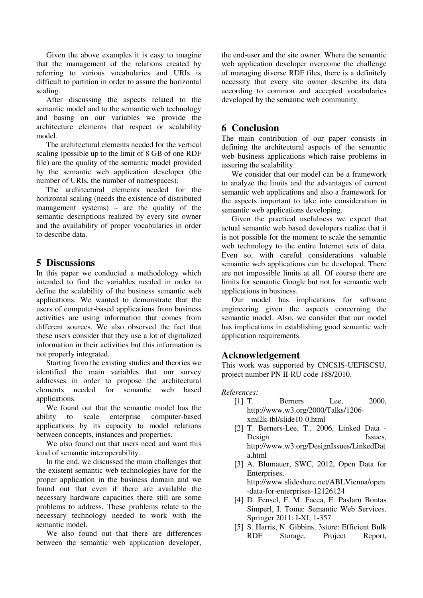Given the above examples it is easy to imagine that the management of the relations created by referring to various vocabularies and URIs is difficult to partition in order to assure the horizontal scaling.

After discussing the aspects related to the semantic model and to the semantic web technology and basing on our variables we provide the architecture elements that respect or scalability model.

The architectural elements needed for the vertical scaling (possible up to the limit of 8 GB of one RDF file) are the quality of the semantic model provided by the semantic web application developer (the number of URIs, the number of namespaces).

The architectural elements needed for the horizontal scaling (needs the existence of distributed management systems) – are the quality of the semantic descriptions realized by every site owner and the availability of proper vocabularies in order to describe data.

### **5 Discussions**

In this paper we conducted a methodology which intended to find the variables needed in order to define the scalability of the business semantic web applications. We wanted to demonstrate that the users of computer-based applications from business activities are using information that comes from different sources. We also observed the fact that these users consider that they use a lot of digitalized information in their activities but this information is not properly integrated.

Starting from the existing studies and theories we identified the main variables that our survey addresses in order to propose the architectural elements needed for semantic web based applications.

We found out that the semantic model has the ability to scale enterprise computer-based applications by its capacity to model relations between concepts, instances and properties.

We also found out that users need and want this kind of semantic interoperability.

In the end, we discussed the main challenges that the existent semantic web technologies have for the proper application in the business domain and we found out that even if there are available the necessary hardware capacities there still are some problems to address. These problems relate to the necessary technology needed to work with the semantic model.

We also found out that there are differences between the semantic web application developer, the end-user and the site owner. Where the semantic web application developer overcome the challenge of managing diverse RDF files, there is a definitely necessity that every site owner describe its data according to common and accepted vocabularies developed by the semantic web community.

## **6 Conclusion**

The main contribution of our paper consists in defining the architectural aspects of the semantic web business applications which raise problems in assuring the scalability.

We consider that our model can be a framework to analyze the limits and the advantages of current semantic web applications and also a framework for the aspects important to take into consideration in semantic web applications developing.

Given the practical usefulness we expect that actual semantic web based developers realize that it is not possible for the moment to scale the semantic web technology to the entire Internet sets of data. Even so, with careful considerations valuable semantic web applications can be developed. There are not impossible limits at all. Of course there are limits for semantic Google but not for semantic web applications in business.

Our model has implications for software engineering given the aspects concerning the semantic model. Also, we consider that our model has implications in establishing good semantic web application requirements.

## **Acknowledgement**

This work was supported by CNCSIS-UEFISCSU, project number PN II-RU code 188/2010.

#### *References:*

- [1] T. Berners Lee, 2000, http://www.w3.org/2000/Talks/1206 xml2k-tbl/slide10-0.html
- [2] T. Berners-Lee, T., 2006, Linked Data Design Issues, http://www.w3.org/DesignIssues/LinkedDat a.html
- [3] A. Blumauer, SWC, 2012, Open Data for Enterprises, http://www.slideshare.net/ABLVienna/open -data-for-enterprises-12126124
- [4] D. Fensel, F. M. Facca, E. Paslaru Bontas Simperl, I. Toma: Semantic Web Services. Springer 2011: I-XI, 1-357
- [5] S. Harris, N. Gibbins, 3store: Efficient Bulk RDF Storage, Project Report,